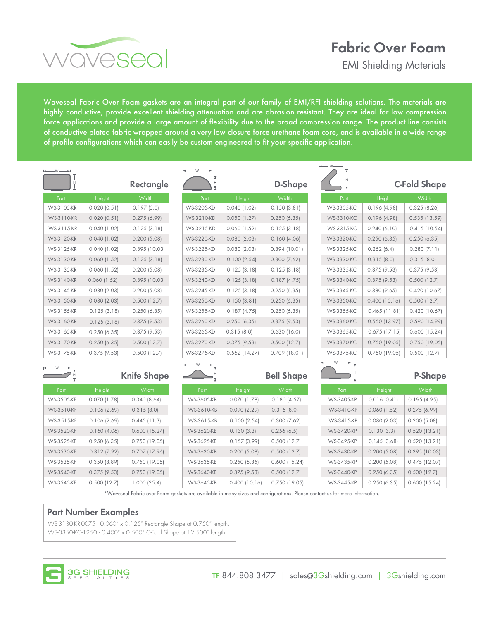## **Fabric Over Foam**

EMI Shielding Materials

Waveseal Fabric Over Foam gaskets are an integral part of our family of EMI/RFI shielding solutions. The materials are highly conductive, provide excellent shielding attenuation and are abrasion resistant. They are ideal for low compression force applications and provide a large amount of flexibility due to the broad compression range. The product line consists of conductive plated fabric wrapped around a very low closure force urethane foam core, and is available in a wide range of profile configurations which can easily be custom engineered to fit your specific application.

| $\longleftarrow$ W $\longrightarrow$ |                  |                    | $-w-$             |                  |                   | $\longleftarrow$ W $\longrightarrow$ |                 |                     |
|--------------------------------------|------------------|--------------------|-------------------|------------------|-------------------|--------------------------------------|-----------------|---------------------|
|                                      |                  | <b>Rectangle</b>   | н                 |                  | D-Shape           |                                      |                 | <b>C-Fold Shape</b> |
| Part                                 | Height           | Width              | Part              | Height           | Width             | Part                                 | Height          | <b>Width</b>        |
| WS-3105-KR                           | 0.020(0.51)      | 0.197(5.0)         | WS-3205-KD        | $0.040$ (1.02)   | 0.150(3.81)       | <b>WS-3305-KC</b>                    | 0.196(4.98)     | 0.325(8.26)         |
| <b>WS-3110-KR</b>                    | 0.020(0.51)      | 0.275(6.99)        | WS-3210-KD        | 0.050(1.27)      | 0.250(6.35)       | WS-3310-KC                           | 0.196(4.98)     | 0.535(13.59)        |
| WS-3115-KR                           | $0.040$ (1.02)   | 0.125(3.18)        | WS-3215-KD        | $0.060$ $(1.52)$ | 0.125(3.18)       | WS-3315-KC                           | 0.240(6.10)     | 0.415(10.54)        |
| <b>WS-3120-KR</b>                    | $0.040$ (1.02)   | 0.200(5.08)        | <b>WS-3220-KD</b> | 0.080(2.03)      | 0.160(4.06)       | <b>WS-3320-KC</b>                    | 0.250(6.35)     | 0.250(6.35)         |
| WS-3125-KR                           | $0.040$ (1.02)   | $0.395$ (10.03)    | <b>WS-3225-KD</b> | 0.080(2.03)      | 0.394(10.01)      | <b>WS-3325-KC</b>                    | 0.252(6.4)      | 0.280(7.11)         |
| <b>WS-3130-KR</b>                    | 0.060(1.52)      | 0.125(3.18)        | WS-3230-KD        | 0.100(2.54)      | $0.300$ (7.62)    | <b>WS-3330-KC</b>                    | 0.315(8.0)      | 0.315(8.0)          |
| WS-3135-KR                           | $0.060$ $(1.52)$ | 0.200(5.08)        | WS-3235-KD        | 0.125(3.18)      | 0.125(3.18)       | <b>WS-3335-KC</b>                    | $0.375$ (9.53)  | $0.375$ (9.53)      |
| WS-3140-KR                           | $0.060$ $(1.52)$ | $0.395$ (10.03)    | <b>WS-3240-KD</b> | 0.125(3.18)      | 0.187(4.75)       | <b>WS-3340-KC</b>                    | 0.375(9.53)     | 0.500(12.7)         |
| WS-3145-KR                           | 0.080(2.03)      | 0.200(5.08)        | WS-3245-KD        | 0.125(3.18)      | 0.250(6.35)       | <b>WS-3345-KC</b>                    | 0.380(9.65)     | $0.420$ (10.67)     |
| WS-3150-KR                           | 0.080(2.03)      | 0.500(12.7)        | WS-3250-KD        | 0.150(3.81)      | 0.250(6.35)       | <b>WS-3350-KC</b>                    | $0.400$ (10.16) | 0.500(12.7)         |
| WS-3155-KR                           | 0.125(3.18)      | 0.250(6.35)        | WS-3255-KD        | 0.187(4.75)      | 0.250(6.35)       | <b>WS-3355-KC</b>                    | $0.465$ (11.81) | 0.420(10.67)        |
| WS-3160-KR                           | 0.125(3.18)      | $0.375$ (9.53)     | <b>WS-3260-KD</b> | 0.250(6.35)      | 0.375(9.53)       | <b>WS-3360-KC</b>                    | $0.550$ (13.97) | 0.590(14.99)        |
| WS-3165-KR                           | 0.250(6.35)      | $0.375$ (9.53)     | <b>WS-3265-KD</b> | 0.315(8.0)       | 0.630(16.0)       | <b>WS-3365-KC</b>                    | $0.675$ (17.15) | $0.600$ (15.24)     |
| <b>WS-3170-KR</b>                    | 0.250(6.35)      | 0.500(12.7)        | <b>WS-3270-KD</b> | 0.375(9.53)      | 0.500(12.7)       | <b>WS-3370-KC</b>                    | 0.750(19.05)    | 0.750(19.05)        |
| WS-3175-KR                           | $0.375$ (9.53)   | 0.500(12.7)        | WS-3275-KD        | $0.562$ (14.27)  | 0.709(18.01)      | <b>WS-3375-KC</b>                    | 0.750(19.05)    | 0.500(12.7)         |
| - W -                                |                  |                    | – W<br>∸'∤        |                  |                   | — w ——→  ↓                           |                 |                     |
|                                      |                  | <b>Knife Shape</b> |                   |                  | <b>Bell Shape</b> |                                      |                 | P-Shape             |
| Part                                 | Height           | Width              | Part              | Height           | Width             | Part                                 | Height          | <b>Width</b>        |
| <b>WS-3505-KF</b>                    | 0.070(1.78)      | 0.340(8.64)        | <b>WS-3605-KB</b> | 0.070(1.78)      | 0.180(4.57)       | WS-3405-KP                           | 0.016(0.41)     | 0.195(4.95)         |
| WS-3510-KF                           | 0.106(2.69)      | 0.315(8.0)         | <b>WS-3610-KB</b> | 0.090(2.29)      | 0.315(8.0)        | WS-3410-KP                           | 0.060(1.52)     | 0.275(6.99)         |
| WS-3515-KF                           | 0.106(2.69)      | $0.445$ (11.3)     | WS-3615-KB        | 0.100(2.54)      | $0.300$ (7.62)    | WS-3415-KP                           | 0.080(2.03)     | 0.200(5.08)         |
| <b>WS-3520-KF</b>                    | 0.160(4.06)      | 0.600(15.24)       | WS-3620-KB        | 0.130(3.3)       | 0.256(6.5)        | <b>WS-3420-KP</b>                    | 0.130(3.3)      | 0.520(13.21)        |
| WS-3525-KF                           | 0.250(6.35)      | 0.750(19.05)       | <b>WS-3625-KB</b> | 0.157(3.99)      | 0.500(12.7)       | WS-3425-KP                           | 0.145(3.68)     | 0.520(13.21)        |
| <b>WS-3530-KF</b>                    | $0.312$ (7.92)   | $0.707$ (17.96)    | <b>WS-3630-KB</b> | 0.200(5.08)      | 0.500(12.7)       | <b>WS-3430-KP</b>                    | 0.200(5.08)     | 0.395(10.03)        |
| WS-3535-KF                           | 0.350(8.89)      | 0.750 (19.05)      | <b>WS-3635-KB</b> | 0.250(6.35)      | $0.600$ (15.24)   | WS-3435-KP                           | 0.200(5.08)     | $0.475$ (12.07)     |
| <b>WS-3540-KF</b>                    | $0.375$ (9.53)   | 0.750(19.05)       | <b>WS-3640-KB</b> | 0.375(9.53)      | 0.500(12.7)       | <b>WS-3440-KP</b>                    | 0.250(6.35)     | 0.500(12.7)         |
| WS-3545-KF                           | 0.500(12.7)      | 1.000(25.4)        | WS-3645-KB        | 0.400(10.16)     | $0.750$ (19.05)   | WS-3445-KP                           | 0.250(6.35)     | $0.600$ (15.24)     |

\*Waveseal Fabric over Foam gaskets are available in many sizes and configurations. Please contact us for more information.

### **Part Number Examples**

vovesea

WS-3130-KR-0075 - 0.060" x 0.125" Rectangle Shape at 0.750" length. WS-3350-KC-1250 - 0.400" x 0.500" C-Fold Shape at 12.500" length.